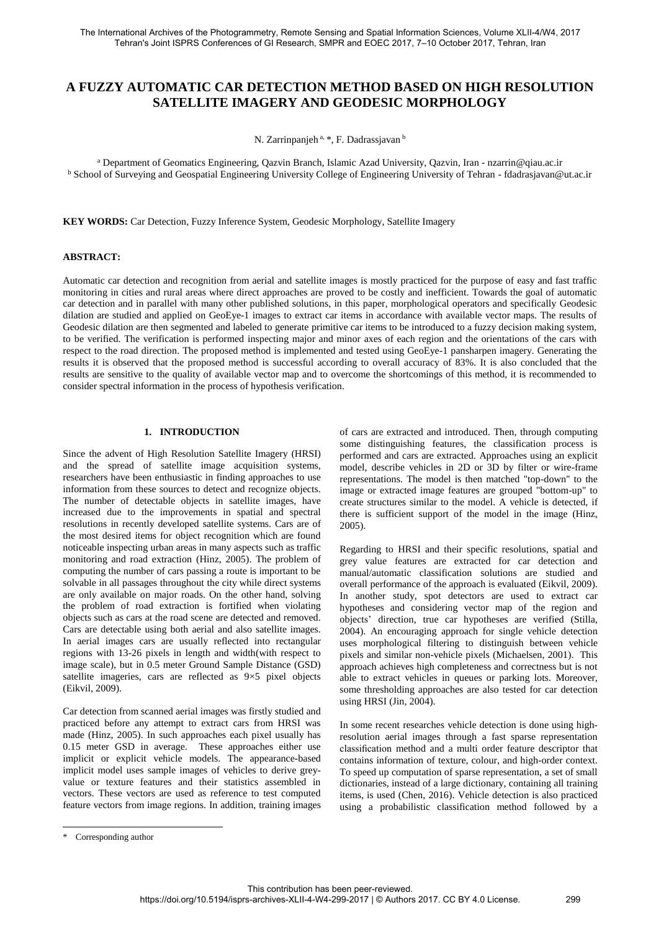# **A FUZZY AUTOMATIC CAR DETECTION METHOD BASED ON HIGH RESOLUTION SATELLITE IMAGERY AND GEODESIC MORPHOLOGY**

N. Zarrinpanjeh<sup>a, \*</sup>, F. Dadrassjavan b

<sup>a</sup> Department of Geomatics Engineering, Qazvin Branch, Islamic Azad University, Qazvin, Iran - nzarrin@qiau.ac.ir <sup>b</sup> School of Surveying and Geospatial Engineering University College of Engineering University of Tehran - fdadrasjavan@ut.ac.ir

**KEY WORDS:** Car Detection, Fuzzy Inference System, Geodesic Morphology, Satellite Imagery

# **ABSTRACT:**

Automatic car detection and recognition from aerial and satellite images is mostly practiced for the purpose of easy and fast traffic monitoring in cities and rural areas where direct approaches are proved to be costly and inefficient. Towards the goal of automatic car detection and in parallel with many other published solutions, in this paper, morphological operators and specifically Geodesic dilation are studied and applied on GeoEye-1 images to extract car items in accordance with available vector maps. The results of Geodesic dilation are then segmented and labeled to generate primitive car items to be introduced to a fuzzy decision making system, to be verified. The verification is performed inspecting major and minor axes of each region and the orientations of the cars with respect to the road direction. The proposed method is implemented and tested using GeoEye-1 pansharpen imagery. Generating the results it is observed that the proposed method is successful according to overall accuracy of 83%. It is also concluded that the results are sensitive to the quality of available vector map and to overcome the shortcomings of this method, it is recommended to consider spectral information in the process of hypothesis verification.

# **1. INTRODUCTION**

Since the advent of High Resolution Satellite Imagery (HRSI) and the spread of satellite image acquisition systems, researchers have been enthusiastic in finding approaches to use information from these sources to detect and recognize objects. The number of detectable objects in satellite images, have increased due to the improvements in spatial and spectral resolutions in recently developed satellite systems. Cars are of the most desired items for object recognition which are found noticeable inspecting urban areas in many aspects such as traffic monitoring and road extraction (Hinz, 2005). The problem of computing the number of cars passing a route is important to be solvable in all passages throughout the city while direct systems are only available on major roads. On the other hand, solving the problem of road extraction is fortified when violating objects such as cars at the road scene are detected and removed. Cars are detectable using both aerial and also satellite images. In aerial images cars are usually reflected into rectangular regions with 13-26 pixels in length and width(with respect to image scale), but in 0.5 meter Ground Sample Distance (GSD) satellite imageries, cars are reflected as 9×5 pixel objects (Eikvil, 2009).

Car detection from scanned aerial images was firstly studied and practiced before any attempt to extract cars from HRSI was made (Hinz, 2005). In such approaches each pixel usually has 0.15 meter GSD in average. These approaches either use implicit or explicit vehicle models. The appearance-based implicit model uses sample images of vehicles to derive greyvalue or texture features and their statistics assembled in vectors. These vectors are used as reference to test computed feature vectors from image regions. In addition, training images of cars are extracted and introduced. Then, through computing some distinguishing features, the classification process is performed and cars are extracted. Approaches using an explicit model, describe vehicles in 2D or 3D by filter or wire-frame representations. The model is then matched "top-down" to the image or extracted image features are grouped "bottom-up" to create structures similar to the model. A vehicle is detected, if there is sufficient support of the model in the image (Hinz, 2005).

Regarding to HRSI and their specific resolutions, spatial and grey value features are extracted for car detection and manual/automatic classification solutions are studied and overall performance of the approach is evaluated (Eikvil, 2009). In another study, spot detectors are used to extract car hypotheses and considering vector map of the region and objects' direction, true car hypotheses are verified (Stilla, 2004). An encouraging approach for single vehicle detection uses morphological filtering to distinguish between vehicle pixels and similar non-vehicle pixels (Michaelsen, 2001). This approach achieves high completeness and correctness but is not able to extract vehicles in queues or parking lots. Moreover, some thresholding approaches are also tested for car detection using HRSI (Jin, 2004).

In some recent researches vehicle detection is done using highresolution aerial images through a fast sparse representation classification method and a multi order feature descriptor that contains information of texture, colour, and high-order context. To speed up computation of sparse representation, a set of small dictionaries, instead of a large dictionary, containing all training items, is used (Chen, 2016). Vehicle detection is also practiced using a probabilistic classification method followed by a

<sup>\*</sup> Corresponding author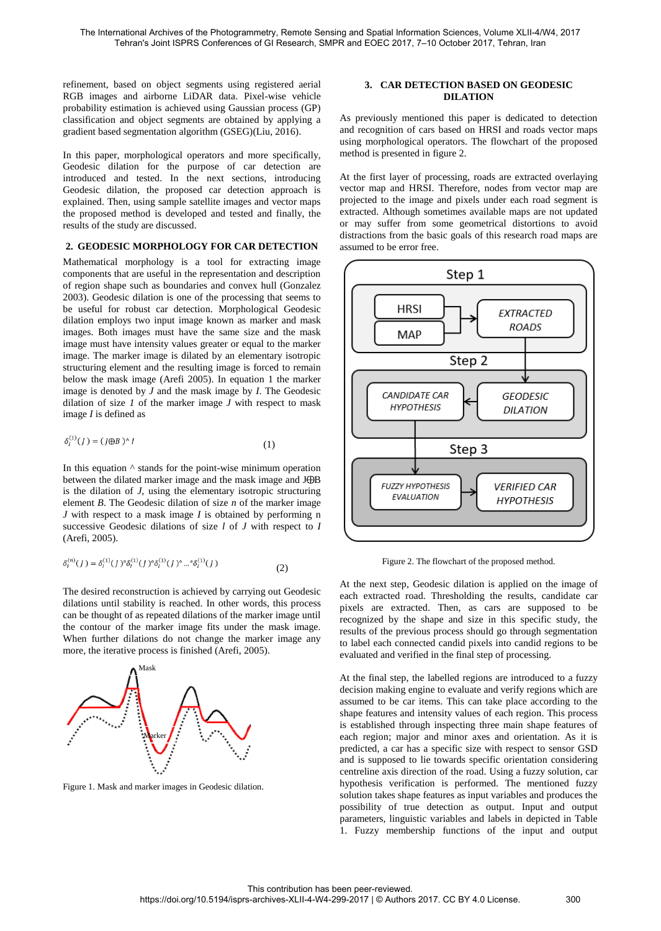refinement, based on object segments using registered aerial RGB images and airborne LiDAR data. Pixel-wise vehicle probability estimation is achieved using Gaussian process (GP) classification and object segments are obtained by applying a gradient based segmentation algorithm (GSEG)(Liu, 2016).

In this paper, morphological operators and more specifically, Geodesic dilation for the purpose of car detection are introduced and tested. In the next sections, introducing Geodesic dilation, the proposed car detection approach is explained. Then, using sample satellite images and vector maps the proposed method is developed and tested and finally, the results of the study are discussed.

## **2. GEODESIC MORPHOLOGY FOR CAR DETECTION**

Mathematical morphology is a tool for extracting image components that are useful in the representation and description of region shape such as boundaries and convex hull (Gonzalez 2003). Geodesic dilation is one of the processing that seems to be useful for robust car detection. Morphological Geodesic dilation employs two input image known as marker and mask images. Both images must have the same size and the mask image must have intensity values greater or equal to the marker image. The marker image is dilated by an elementary isotropic structuring element and the resulting image is forced to remain below the mask image (Arefi 2005). In equation 1 the marker image is denoted by *J* and the mask image by *I*. The Geodesic dilation of size *1* of the marker image *J* with respect to mask image *I* is defined as

$$
\delta_l^{(1)}(J) = (J \oplus B)^\wedge I \tag{1}
$$

In this equation  $\wedge$  stands for the point-wise minimum operation between the dilated marker image and the mask image and  $J\oplus B$ is the dilation of *J*, using the elementary isotropic structuring element *B*. The Geodesic dilation of size *n* of the marker image *J* with respect to a mask image *I* is obtained by performing n successive Geodesic dilations of size *l* of *J* with respect to *I* (Arefi, 2005).

$$
\delta_l^{(n)}(J) = \delta_l^{(1)}(J)^\circ \delta_l^{(1)}(J)^\circ \delta_l^{(1)}(J)^\circ \dots^\circ \delta_l^{(1)}(J) \tag{2}
$$

The desired reconstruction is achieved by carrying out Geodesic dilations until stability is reached. In other words, this process can be thought of as repeated dilations of the marker image until the contour of the marker image fits under the mask image. When further dilations do not change the marker image any more, the iterative process is finished (Arefi, 2005).



Figure 1. Mask and marker images in Geodesic dilation.

# **3. CAR DETECTION BASED ON GEODESIC DILATION**

As previously mentioned this paper is dedicated to detection and recognition of cars based on HRSI and roads vector maps using morphological operators. The flowchart of the proposed method is presented in figure 2.

At the first layer of processing, roads are extracted overlaying vector map and HRSI. Therefore, nodes from vector map are projected to the image and pixels under each road segment is extracted. Although sometimes available maps are not updated or may suffer from some geometrical distortions to avoid distractions from the basic goals of this research road maps are assumed to be error free.



Figure 2. The flowchart of the proposed method.

At the next step, Geodesic dilation is applied on the image of each extracted road. Thresholding the results, candidate car pixels are extracted. Then, as cars are supposed to be recognized by the shape and size in this specific study, the results of the previous process should go through segmentation to label each connected candid pixels into candid regions to be evaluated and verified in the final step of processing.

At the final step, the labelled regions are introduced to a fuzzy decision making engine to evaluate and verify regions which are assumed to be car items. This can take place according to the shape features and intensity values of each region. This process is established through inspecting three main shape features of each region; major and minor axes and orientation. As it is predicted, a car has a specific size with respect to sensor GSD and is supposed to lie towards specific orientation considering centreline axis direction of the road. Using a fuzzy solution, car hypothesis verification is performed. The mentioned fuzzy solution takes shape features as input variables and produces the possibility of true detection as output. Input and output parameters, linguistic variables and labels in depicted in Table 1. Fuzzy membership functions of the input and output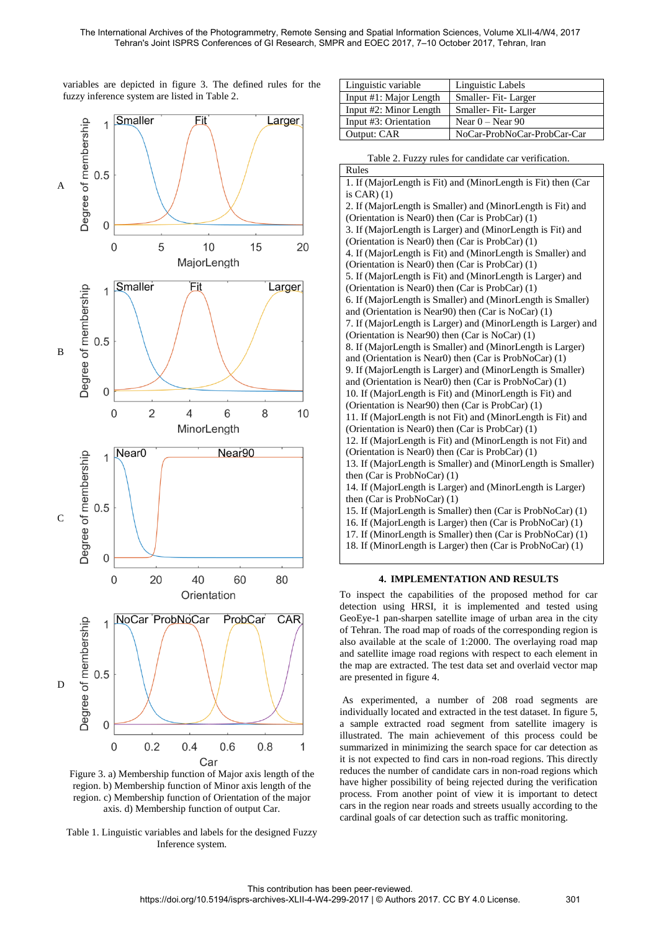variables are depicted in figure 3. The defined rules for the fuzzy inference system are listed in Table 2.



Figure 3. a) Membership function of Major axis length of the region. b) Membership function of Minor axis length of the region. c) Membership function of Orientation of the major axis. d) Membership function of output Car.

Table 1. Linguistic variables and labels for the designed Fuzzy Inference system.

| Linguistic variable    | Linguistic Labels           |
|------------------------|-----------------------------|
| Input #1: Major Length | Smaller-Fit-Larger          |
| Input #2: Minor Length | Smaller-Fit-Larger          |
| Input #3: Orientation  | Near $0 -$ Near 90          |
| Output: CAR            | NoCar-ProbNoCar-ProbCar-Car |

| Table 2. Fuzzy rules for candidate car verification.          |  |  |  |  |
|---------------------------------------------------------------|--|--|--|--|
| Rules                                                         |  |  |  |  |
| 1. If (MajorLength is Fit) and (MinorLength is Fit) then (Car |  |  |  |  |
| is $CAR$ ) $(1)$                                              |  |  |  |  |
| 2. If (MajorLength is Smaller) and (MinorLength is Fit) and   |  |  |  |  |
| (Orientation is Near0) then (Car is ProbCar) (1)              |  |  |  |  |
| 3. If (MajorLength is Larger) and (MinorLength is Fit) and    |  |  |  |  |
| (Orientation is Near0) then (Car is ProbCar) (1)              |  |  |  |  |
| 4. If (MajorLength is Fit) and (MinorLength is Smaller) and   |  |  |  |  |
| (Orientation is Near0) then $(Car$ is Prob $Car(1)$           |  |  |  |  |
| 5. If (MajorLength is Fit) and (MinorLength is Larger) and    |  |  |  |  |
| (Orientation is Near0) then (Car is ProbCar) (1)              |  |  |  |  |
| 6. If (MajorLength is Smaller) and (MinorLength is Smaller)   |  |  |  |  |
| and (Orientation is Near90) then (Car is NoCar) (1)           |  |  |  |  |
| 7. If (MajorLength is Larger) and (MinorLength is Larger) and |  |  |  |  |
| (Orientation is Near90) then (Car is NoCar) (1)               |  |  |  |  |
| 8. If (MajorLength is Smaller) and (MinorLength is Larger)    |  |  |  |  |
| and (Orientation is Near0) then (Car is ProbNoCar) (1)        |  |  |  |  |
| 9. If (MajorLength is Larger) and (MinorLength is Smaller)    |  |  |  |  |
| and (Orientation is Near0) then (Car is ProbNoCar) (1)        |  |  |  |  |
| 10. If (MajorLength is Fit) and (MinorLength is Fit) and      |  |  |  |  |
| (Orientation is Near90) then (Car is ProbCar) (1)             |  |  |  |  |
| 11. If (MajorLength is not Fit) and (MinorLength is Fit) and  |  |  |  |  |
| (Orientation is Near0) then (Car is ProbCar) (1)              |  |  |  |  |
| 12. If (MajorLength is Fit) and (MinorLength is not Fit) and  |  |  |  |  |
| (Orientation is Near0) then (Car is ProbCar) (1)              |  |  |  |  |
| 13. If (MajorLength is Smaller) and (MinorLength is Smaller)  |  |  |  |  |
| then (Car is ProbNoCar) (1)                                   |  |  |  |  |
| 14. If (MajorLength is Larger) and (MinorLength is Larger)    |  |  |  |  |
| then $(Car$ is ProbNoCar $)$ (1)                              |  |  |  |  |
| 15. If (MajorLength is Smaller) then (Car is ProbNoCar) (1)   |  |  |  |  |
| 16. If (MajorLength is Larger) then (Car is ProbNoCar) (1)    |  |  |  |  |
| 17. If (MinorLength is Smaller) then (Car is ProbNoCar) (1)   |  |  |  |  |
| 18. If (MinorLength is Larger) then (Car is ProbNoCar) (1)    |  |  |  |  |
|                                                               |  |  |  |  |

#### **4. IMPLEMENTATION AND RESULTS**

To inspect the capabilities of the proposed method for car detection using HRSI, it is implemented and tested using GeoEye-1 pan-sharpen satellite image of urban area in the city of Tehran. The road map of roads of the corresponding region is also available at the scale of 1:2000. The overlaying road map and satellite image road regions with respect to each element in the map are extracted. The test data set and overlaid vector map are presented in figure 4.

As experimented, a number of 208 road segments are individually located and extracted in the test dataset. In figure 5, a sample extracted road segment from satellite imagery is illustrated. The main achievement of this process could be summarized in minimizing the search space for car detection as it is not expected to find cars in non-road regions. This directly reduces the number of candidate cars in non-road regions which have higher possibility of being rejected during the verification process. From another point of view it is important to detect cars in the region near roads and streets usually according to the cardinal goals of car detection such as traffic monitoring.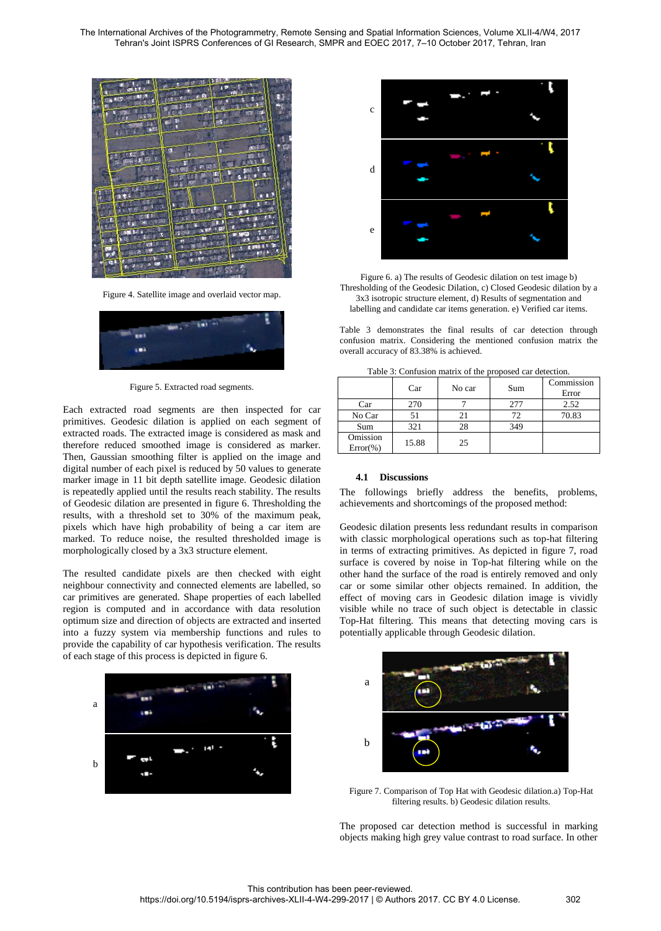

Figure 4. Satellite image and overlaid vector map.



Figure 5. Extracted road segments.

Each extracted road segments are then inspected for car primitives. Geodesic dilation is applied on each segment of extracted roads. The extracted image is considered as mask and therefore reduced smoothed image is considered as marker. Then, Gaussian smoothing filter is applied on the image and digital number of each pixel is reduced by 50 values to generate marker image in 11 bit depth satellite image. Geodesic dilation is repeatedly applied until the results reach stability. The results of Geodesic dilation are presented in figure 6. Thresholding the results, with a threshold set to 30% of the maximum peak, pixels which have high probability of being a car item are marked. To reduce noise, the resulted thresholded image is morphologically closed by a 3x3 structure element.

The resulted candidate pixels are then checked with eight neighbour connectivity and connected elements are labelled, so car primitives are generated. Shape properties of each labelled region is computed and in accordance with data resolution optimum size and direction of objects are extracted and inserted into a fuzzy system via membership functions and rules to provide the capability of car hypothesis verification. The results of each stage of this process is depicted in figure 6.





Figure 6. a) The results of Geodesic dilation on test image b) Thresholding of the Geodesic Dilation, c) Closed Geodesic dilation by a 3x3 isotropic structure element, d) Results of segmentation and labelling and candidate car items generation. e) Verified car items.

Table 3 demonstrates the final results of car detection through confusion matrix. Considering the mentioned confusion matrix the overall accuracy of 83.38% is achieved.

| Tuble 5. Common mutual of the proposed car detection. |       |        |     |                     |  |
|-------------------------------------------------------|-------|--------|-----|---------------------|--|
|                                                       | Car   | No car | Sum | Commission<br>Error |  |
| Car                                                   | 270   |        | 277 | 2.52                |  |
| No Car                                                | 51    |        | 72  | 70.83               |  |
| Sum                                                   | 321   | 28     | 349 |                     |  |
| Omission<br>$Error(\% )$                              | 15.88 | 25     |     |                     |  |

Table 3: Confusion matrix of the proposed car detection.

#### **4.1 Discussions**

The followings briefly address the benefits, problems, achievements and shortcomings of the proposed method:

Geodesic dilation presents less redundant results in comparison with classic morphological operations such as top-hat filtering in terms of extracting primitives. As depicted in figure 7, road surface is covered by noise in Top-hat filtering while on the other hand the surface of the road is entirely removed and only car or some similar other objects remained. In addition, the effect of moving cars in Geodesic dilation image is vividly visible while no trace of such object is detectable in classic Top-Hat filtering. This means that detecting moving cars is potentially applicable through Geodesic dilation.



Figure 7. Comparison of Top Hat with Geodesic dilation.a) Top-Hat filtering results. b) Geodesic dilation results.

The proposed car detection method is successful in marking objects making high grey value contrast to road surface. In other